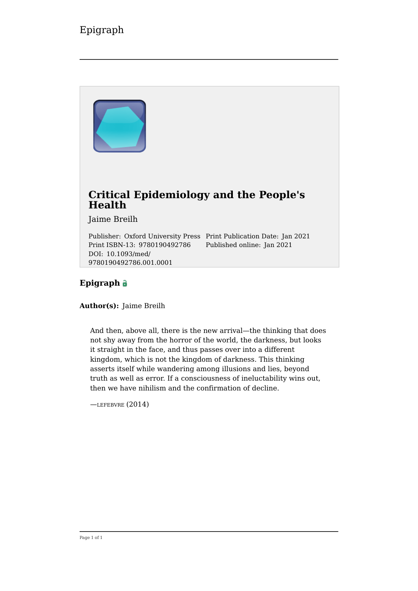# Epigraph



#### **Epigraph**

**Author(s):** Jaime Breilh

9780190492786.001.0001

And then, above all, there is the new arrival—the thinking that does not shy away from the horror of the world, the darkness, but looks it straight in the face, and thus passes over into a different kingdom, which is not the kingdom of darkness. This thinking asserts itself while wandering among illusions and lies, beyond truth as well as error. If a consciousness of ineluctability wins out, then we have nihilism and the confirmation of decline.

—[LEFEBVRE](https://oxfordmedicine.com/view/10.1093/med/9780190492786.001.0001/med-9780190492786-bibliography-1#med-9780190492786-bibItem-177) [\(2014\)](https://oxfordmedicine.com/view/10.1093/med/9780190492786.001.0001/med-9780190492786-bibliography-1#med-9780190492786-bibItem-177)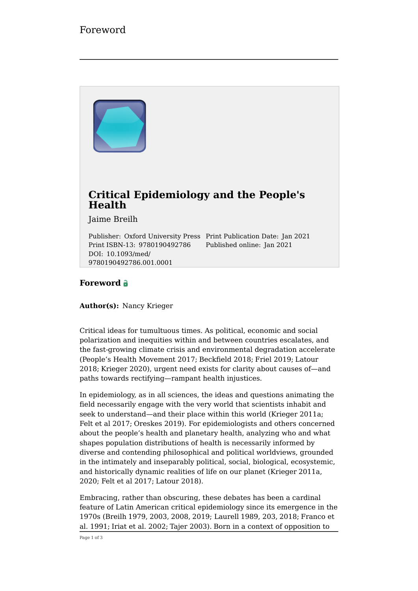#### Foreword



#### **Foreword**

**Author(s):** Nancy Krieger

9780190492786.001.0001

Critical ideas for tumultuous times. As political, economic and social polarization and inequities within and between countries escalates, and the fast-growing climate crisis and environmental degradation accelerate (People's Health Movement 2017; [Beckfield 2018;](https://oxfordmedicine.com/view/10.1093/med/9780190492786.001.0001/med-9780190492786-bibliography-1#med-9780190492786-bibItem-19) [Friel 2019;](https://oxfordmedicine.com/view/10.1093/med/9780190492786.001.0001/med-9780190492786-bibliography-1#med-9780190492786-bibItem-110) [Latour](https://oxfordmedicine.com/view/10.1093/med/9780190492786.001.0001/med-9780190492786-bibliography-1#med-9780190492786-bibItem-172)  [2018](https://oxfordmedicine.com/view/10.1093/med/9780190492786.001.0001/med-9780190492786-bibliography-1#med-9780190492786-bibItem-172); [Krieger 2020](https://oxfordmedicine.com/view/10.1093/med/9780190492786.001.0001/med-9780190492786-bibliography-1#med-9780190492786-bibItem-157)), urgent need exists for clarity about causes of—and paths towards rectifying—rampant health injustices.

In epidemiology, as in all sciences, the ideas and questions animating the field necessarily engage with the very world that scientists inhabit and seek to understand—and their place within this world ([Krieger 2011a](https://oxfordmedicine.com/view/10.1093/med/9780190492786.001.0001/med-9780190492786-bibliography-1#med-9780190492786-bibItem-153); [Felt et al 2017](https://oxfordmedicine.com/view/10.1093/med/9780190492786.001.0001/med-9780190492786-bibliography-1#med-9780190492786-bibItem-101); [Oreskes 2019\)](https://oxfordmedicine.com/view/10.1093/med/9780190492786.001.0001/med-9780190492786-bibliography-1#med-9780190492786-bibItem-206). For epidemiologists and others concerned about the people's health and planetary health, analyzing who and what shapes population distributions of health is necessarily informed by diverse and contending philosophical and political worldviews, grounded in the intimately and inseparably political, social, biological, ecosystemic, and historically dynamic realities of life on our planet (Krieger [2011a,](https://oxfordmedicine.com/view/10.1093/med/9780190492786.001.0001/med-9780190492786-bibliography-1#med-9780190492786-bibItem-153) [2020](https://oxfordmedicine.com/view/10.1093/med/9780190492786.001.0001/med-9780190492786-bibliography-1#med-9780190492786-bibItem-157); Felt et al 2017; [Latour 2018\)](https://oxfordmedicine.com/view/10.1093/med/9780190492786.001.0001/med-9780190492786-bibliography-1#med-9780190492786-bibItem-172).

Embracing, rather than obscuring, these debates has been a cardinal feature of Latin American critical epidemiology since its emergence in the 1970s (Breilh [1979,](https://oxfordmedicine.com/view/10.1093/med/9780190492786.001.0001/med-9780190492786-bibliography-1#med-9780190492786-bibItem-31) [2003,](https://oxfordmedicine.com/view/10.1093/med/9780190492786.001.0001/med-9780190492786-bibliography-1#med-9780190492786-bibItem-63) [2008](https://oxfordmedicine.com/view/10.1093/med/9780190492786.001.0001/med-9780190492786-bibliography-1#med-9780190492786-bibItem-64), [2019;](https://oxfordmedicine.com/view/10.1093/med/9780190492786.001.0001/med-9780190492786-bibliography-1#med-9780190492786-bibItem-62) Laurell [1989,](https://oxfordmedicine.com/view/10.1093/med/9780190492786.001.0001/med-9780190492786-bibliography-1#med-9780190492786-bibItem-168) 203, [2018;](https://oxfordmedicine.com/view/10.1093/med/9780190492786.001.0001/med-9780190492786-bibliography-1#med-9780190492786-bibItem-171) [Franco et](https://oxfordmedicine.com/view/10.1093/med/9780190492786.001.0001/med-9780190492786-bibliography-1#med-9780190492786-bibItem-108) [al. 1991](https://oxfordmedicine.com/view/10.1093/med/9780190492786.001.0001/med-9780190492786-bibliography-1#med-9780190492786-bibItem-108); [Iriat et al. 2002](https://oxfordmedicine.com/view/10.1093/med/9780190492786.001.0001/med-9780190492786-bibliography-1#med-9780190492786-bibItem-139); [Tajer 2003\)](https://oxfordmedicine.com/view/10.1093/med/9780190492786.001.0001/med-9780190492786-bibliography-1#med-9780190492786-bibItem-247). Born in a context of opposition to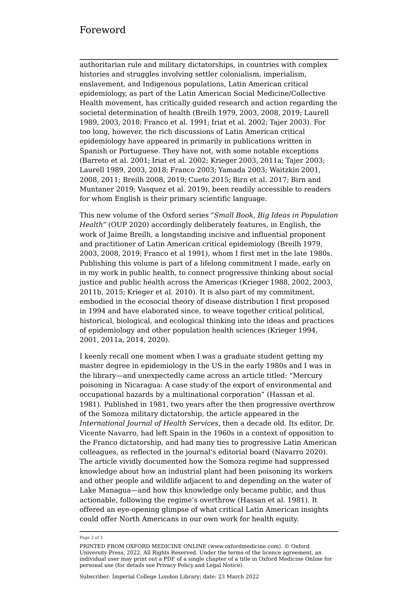#### Foreword

authoritarian rule and military dictatorships, in countries with complex histories and struggles involving settler colonialism, imperialism, enslavement, and Indigenous populations, Latin American critical epidemiology, as part of the Latin American Social Medicine/Collective Health movement, has critically guided research and action regarding the societal determination of health (Breilh [1979,](https://oxfordmedicine.com/view/10.1093/med/9780190492786.001.0001/med-9780190492786-bibliography-1#med-9780190492786-bibItem-31) [2003](https://oxfordmedicine.com/view/10.1093/med/9780190492786.001.0001/med-9780190492786-bibliography-1#med-9780190492786-bibItem-63), [2008](https://oxfordmedicine.com/view/10.1093/med/9780190492786.001.0001/med-9780190492786-bibliography-1#med-9780190492786-bibItem-64), [2019;](https://oxfordmedicine.com/view/10.1093/med/9780190492786.001.0001/med-9780190492786-bibliography-1#med-9780190492786-bibItem-62) Laurell [1989](https://oxfordmedicine.com/view/10.1093/med/9780190492786.001.0001/med-9780190492786-bibliography-1#med-9780190492786-bibItem-168), [2003,](https://oxfordmedicine.com/view/10.1093/med/9780190492786.001.0001/med-9780190492786-bibliography-1#med-9780190492786-bibItem-170) [2018](https://oxfordmedicine.com/view/10.1093/med/9780190492786.001.0001/med-9780190492786-bibliography-1#med-9780190492786-bibItem-171); [Franco et al. 1991](https://oxfordmedicine.com/view/10.1093/med/9780190492786.001.0001/med-9780190492786-bibliography-1#med-9780190492786-bibItem-108); [Iriat et al. 2002](https://oxfordmedicine.com/view/10.1093/med/9780190492786.001.0001/med-9780190492786-bibliography-1#med-9780190492786-bibItem-139); [Tajer 2003](https://oxfordmedicine.com/view/10.1093/med/9780190492786.001.0001/med-9780190492786-bibliography-1#med-9780190492786-bibItem-247)). For too long, however, the rich discussions of Latin American critical epidemiology have appeared in primarily in publications written in Spanish or Portuguese. They have not, with some notable exceptions [\(Barreto et al. 2001;](https://oxfordmedicine.com/view/10.1093/med/9780190492786.001.0001/med-9780190492786-bibliography-1#med-9780190492786-bibItem-17) [Iriat et al. 2002;](https://oxfordmedicine.com/view/10.1093/med/9780190492786.001.0001/med-9780190492786-bibliography-1#med-9780190492786-bibItem-139) Krieger [2003,](https://oxfordmedicine.com/view/10.1093/med/9780190492786.001.0001/med-9780190492786-bibliography-1#med-9780190492786-bibItem-152) [2011a](https://oxfordmedicine.com/view/10.1093/med/9780190492786.001.0001/med-9780190492786-bibliography-1#med-9780190492786-bibItem-153); [Tajer 2003;](https://oxfordmedicine.com/view/10.1093/med/9780190492786.001.0001/med-9780190492786-bibliography-1#med-9780190492786-bibItem-247) Laurell [1989,](https://oxfordmedicine.com/view/10.1093/med/9780190492786.001.0001/med-9780190492786-bibliography-1#med-9780190492786-bibItem-168) [2003](https://oxfordmedicine.com/view/10.1093/med/9780190492786.001.0001/med-9780190492786-bibliography-1#med-9780190492786-bibItem-170), [2018;](https://oxfordmedicine.com/view/10.1093/med/9780190492786.001.0001/med-9780190492786-bibliography-1#med-9780190492786-bibItem-171) [Franco 2003](https://oxfordmedicine.com/view/10.1093/med/9780190492786.001.0001/med-9780190492786-bibliography-1#med-9780190492786-bibItem-107); [Yamada 2003;](https://oxfordmedicine.com/view/10.1093/med/9780190492786.001.0001/med-9780190492786-bibliography-1#med-9780190492786-bibItem-273) Waitzkin [2001,](https://oxfordmedicine.com/view/10.1093/med/9780190492786.001.0001/med-9780190492786-bibliography-1#med-9780190492786-bibItem-265) [2008](https://oxfordmedicine.com/view/10.1093/med/9780190492786.001.0001/med-9780190492786-bibliography-1#med-9780190492786-bibItem-264), [2011;](https://oxfordmedicine.com/view/10.1093/med/9780190492786.001.0001/med-9780190492786-bibliography-1#med-9780190492786-bibItem-262) Breilh [2008](https://oxfordmedicine.com/view/10.1093/med/9780190492786.001.0001/med-9780190492786-bibliography-1#med-9780190492786-bibItem-64), [2019;](https://oxfordmedicine.com/view/10.1093/med/9780190492786.001.0001/med-9780190492786-bibliography-1#med-9780190492786-bibItem-56) [Cueto 2015;](https://oxfordmedicine.com/view/10.1093/med/9780190492786.001.0001/med-9780190492786-bibliography-1#med-9780190492786-bibItem-80) [Birn et al. 2017;](https://oxfordmedicine.com/view/10.1093/med/9780190492786.001.0001/med-9780190492786-bibliography-1#med-9780190492786-bibItem-23) [Birn and](https://oxfordmedicine.com/view/10.1093/med/9780190492786.001.0001/med-9780190492786-bibliography-1#med-9780190492786-bibItem-22) [Muntaner 2019](https://oxfordmedicine.com/view/10.1093/med/9780190492786.001.0001/med-9780190492786-bibliography-1#med-9780190492786-bibItem-22); [Vasquez et al. 2019](https://oxfordmedicine.com/view/10.1093/med/9780190492786.001.0001/med-9780190492786-bibliography-1#med-9780190492786-bibItem-258)), been readily accessible to readers for whom English is their primary scientific language.

This new volume of the Oxford series *"Small Book, Big Ideas in Population Health"* (OUP 2020) accordingly deliberately features, in English, the work of Jaime Breilh, a longstanding incisive and influential proponent and practitioner of Latin American critical epidemiology (Breilh [1979](https://oxfordmedicine.com/view/10.1093/med/9780190492786.001.0001/med-9780190492786-bibliography-1#med-9780190492786-bibItem-31), [2003](https://oxfordmedicine.com/view/10.1093/med/9780190492786.001.0001/med-9780190492786-bibliography-1#med-9780190492786-bibItem-63), [2008,](https://oxfordmedicine.com/view/10.1093/med/9780190492786.001.0001/med-9780190492786-bibliography-1#med-9780190492786-bibItem-64) [2019](https://oxfordmedicine.com/view/10.1093/med/9780190492786.001.0001/med-9780190492786-bibliography-1#med-9780190492786-bibItem-62); [Franco et al 1991](https://oxfordmedicine.com/view/10.1093/med/9780190492786.001.0001/med-9780190492786-bibliography-1#med-9780190492786-bibItem-108)), whom I first met in the late 1980s. Publishing this volume is part of a lifelong commitment I made, early on in my work in public health, to connect progressive thinking about social justice and public health across the Americas (Krieger [1988,](https://oxfordmedicine.com/view/10.1093/med/9780190492786.001.0001/med-9780190492786-bibliography-1#med-9780190492786-bibItem-148) [2002](https://oxfordmedicine.com/view/10.1093/med/9780190492786.001.0001/med-9780190492786-bibliography-1#med-9780190492786-bibItem-151), [2003,](https://oxfordmedicine.com/view/10.1093/med/9780190492786.001.0001/med-9780190492786-bibliography-1#med-9780190492786-bibItem-152) [2011b](https://oxfordmedicine.com/view/10.1093/med/9780190492786.001.0001/med-9780190492786-bibliography-1#med-9780190492786-bibItem-154), 2015; [Krieger et al. 2010](https://oxfordmedicine.com/view/10.1093/med/9780190492786.001.0001/med-9780190492786-bibliography-1#med-9780190492786-bibItem-161)). It is also part of my commitment, embodied in the ecosocial theory of disease distribution I first proposed in 1994 and have elaborated since, to weave together critical political, historical, biological, and ecological thinking into the ideas and practices of epidemiology and other population health sciences (Krieger [1994,](https://oxfordmedicine.com/view/10.1093/med/9780190492786.001.0001/med-9780190492786-bibliography-1#med-9780190492786-bibItem-149) [2001](https://oxfordmedicine.com/view/10.1093/med/9780190492786.001.0001/med-9780190492786-bibliography-1#med-9780190492786-bibItem-150), [2011a](https://oxfordmedicine.com/view/10.1093/med/9780190492786.001.0001/med-9780190492786-bibliography-1#med-9780190492786-bibItem-153), [2014,](https://oxfordmedicine.com/view/10.1093/med/9780190492786.001.0001/med-9780190492786-bibliography-1#med-9780190492786-bibItem-155) [2020](https://oxfordmedicine.com/view/10.1093/med/9780190492786.001.0001/med-9780190492786-bibliography-1#med-9780190492786-bibItem-157)).

I keenly recall one moment when I was a graduate student getting my master degree in epidemiology in the US in the early 1980s and I was in the library—and unexpectedly came across an article titled: "Mercury poisoning in Nicaragua: A case study of the export of environmental and occupational hazards by a multinational corporation" ([Hassan et al.](https://oxfordmedicine.com/view/10.1093/med/9780190492786.001.0001/med-9780190492786-bibliography-1#med-9780190492786-bibItem-130) [1981](https://oxfordmedicine.com/view/10.1093/med/9780190492786.001.0001/med-9780190492786-bibliography-1#med-9780190492786-bibItem-130)). Published in 1981, two years after the then progressive overthrow of the Somoza military dictatorship, the article appeared in the *International Journal of Health Services*, then a decade old. Its editor, Dr. Vicente Navarro, had left Spain in the 1960s in a context of opposition to the Franco dictatorship, and had many ties to progressive Latin American colleagues, as reflected in the journal's editorial board (Navarro 2020). The article vividly documented how the Somoza regime had suppressed knowledge about how an industrial plant had been poisoning its workers and other people and wildlife adjacent to and depending on the water of Lake Managua—and how this knowledge only became public, and thus actionable, following the regime's overthrow ([Hassan et al. 1981](https://oxfordmedicine.com/view/10.1093/med/9780190492786.001.0001/med-9780190492786-bibliography-1#med-9780190492786-bibItem-130)). It offered an eye-opening glimpse of what critical Latin American insights could offer North Americans in our own work for health equity.

Page 2 of 3

PRINTED FROM OXFORD MEDICINE ONLINE (www.oxfordmedicine.com). © Oxford University Press, 2022. All Rights Reserved. Under the terms of the licence agreement, an individual user may print out a PDF of a single chapter of a title in Oxford Medicine Online for personal use (for details see [Privacy Policy](https://global.oup.com/privacy) and [Legal Notice](https://oxfordmedicine.com/page/legal-notice)).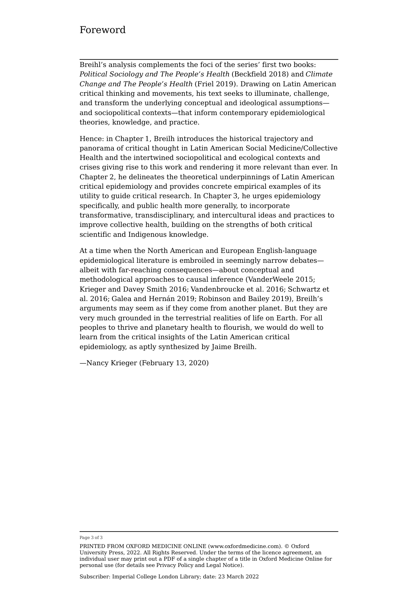#### Foreword

Breihl's analysis complements the foci of the series' first two books: *Political Sociology and The People's Health* ([Beckfield 2018\)](https://oxfordmedicine.com/view/10.1093/med/9780190492786.001.0001/med-9780190492786-bibliography-1#med-9780190492786-bibItem-19) and *Climate Change and The People's Health* [\(Friel 2019](https://oxfordmedicine.com/view/10.1093/med/9780190492786.001.0001/med-9780190492786-bibliography-1#med-9780190492786-bibItem-110)). Drawing on Latin American critical thinking and movements, his text seeks to illuminate, challenge, and transform the underlying conceptual and ideological assumptions and sociopolitical contexts—that inform contemporary epidemiological theories, knowledge, and practice.

Hence: in Chapter [1,](https://oxfordmedicine.com/view/10.1093/med/9780190492786.001.0001/med-9780190492786-chapter-2#) Breilh introduces the historical trajectory and panorama of critical thought in Latin American Social Medicine/Collective Health and the intertwined sociopolitical and ecological contexts and crises giving rise to this work and rendering it more relevant than ever. In Chapter [2](https://oxfordmedicine.com/view/10.1093/med/9780190492786.001.0001/med-9780190492786-chapter-3#), he delineates the theoretical underpinnings of Latin American critical epidemiology and provides concrete empirical examples of its utility to guide critical research. In Chapter [3](https://oxfordmedicine.com/view/10.1093/med/9780190492786.001.0001/med-9780190492786-chapter-4#), he urges epidemiology specifically, and public health more generally, to incorporate transformative, transdisciplinary, and intercultural ideas and practices to improve collective health, building on the strengths of both critical scientific and Indigenous knowledge.

At a time when the North American and European English-language epidemiological literature is embroiled in seemingly narrow debates albeit with far-reaching consequences—about conceptual and methodological approaches to causal inference ([VanderWeele 2015](https://oxfordmedicine.com/view/10.1093/med/9780190492786.001.0001/med-9780190492786-bibliography-1#med-9780190492786-bibItem-257); [Krieger and Davey Smith 2016;](https://oxfordmedicine.com/view/10.1093/med/9780190492786.001.0001/med-9780190492786-bibliography-1#med-9780190492786-bibItem-162) [Vandenbroucke et al. 2016](https://oxfordmedicine.com/view/10.1093/med/9780190492786.001.0001/med-9780190492786-bibliography-1#med-9780190492786-bibItem-256); [Schwartz et](https://oxfordmedicine.com/view/10.1093/med/9780190492786.001.0001/med-9780190492786-bibliography-1#med-9780190492786-bibItem-238) [al. 2016](https://oxfordmedicine.com/view/10.1093/med/9780190492786.001.0001/med-9780190492786-bibliography-1#med-9780190492786-bibItem-238); [Galea and Hernán 2019](https://oxfordmedicine.com/view/10.1093/med/9780190492786.001.0001/med-9780190492786-bibliography-1#med-9780190492786-bibItem-113); [Robinson and Bailey 2019](https://oxfordmedicine.com/view/10.1093/med/9780190492786.001.0001/med-9780190492786-bibliography-1#med-9780190492786-bibItem-223)), Breilh's arguments may seem as if they come from another planet. But they are very much grounded in the terrestrial realities of life on Earth. For all peoples to thrive and planetary health to flourish, we would do well to learn from the critical insights of the Latin American critical epidemiology, as aptly synthesized by Jaime Breilh.

—Nancy Krieger (February 13, 2020)

Page 3 of 3

PRINTED FROM OXFORD MEDICINE ONLINE (www.oxfordmedicine.com). © Oxford University Press, 2022. All Rights Reserved. Under the terms of the licence agreement, an individual user may print out a PDF of a single chapter of a title in Oxford Medicine Online for personal use (for details see [Privacy Policy](https://global.oup.com/privacy) and [Legal Notice](https://oxfordmedicine.com/page/legal-notice)).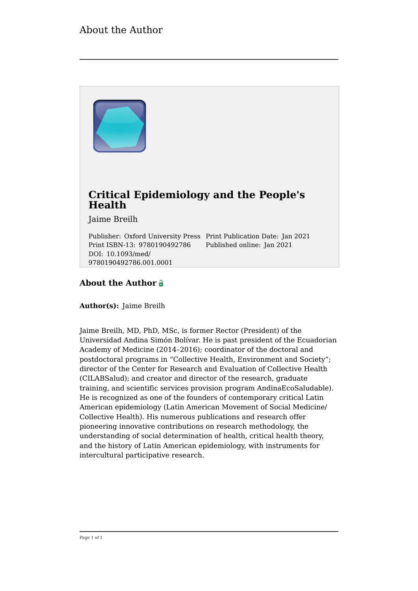#### About the Author



#### **About the Author**

9780190492786.001.0001

**Author(s):** Jaime Breilh

Jaime Breilh, MD, PhD, MSc, is former Rector (President) of the Universidad Andina Simón Bolívar. He is past president of the Ecuadorian Academy of Medicine (2014–2016); coordinator of the doctoral and postdoctoral programs in "Collective Health, Environment and Society"; director of the Center for Research and Evaluation of Collective Health (CILABSalud); and creator and director of the research, graduate training, and scientific services provision program AndinaEcoSaludable). He is recognized as one of the founders of contemporary critical Latin American epidemiology (Latin American Movement of Social Medicine/ Collective Health). His numerous publications and research offer pioneering innovative contributions on research methodology, the understanding of social determination of health, critical health theory, and the history of Latin American epidemiology, with instruments for intercultural participative research.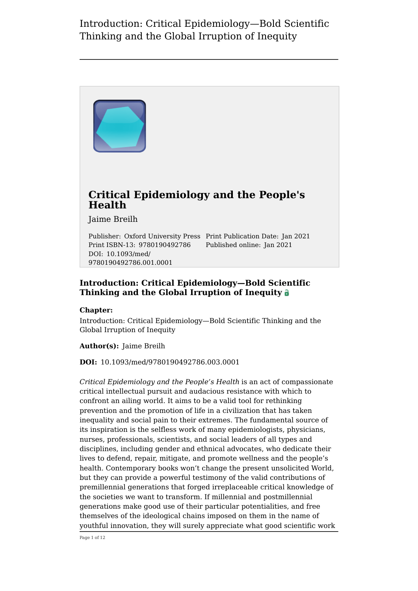

#### **Introduction: Critical Epidemiology—Bold Scientific Thinking and the Global Irruption of Inequity**

#### **Chapter:**

Introduction: Critical Epidemiology—Bold Scientific Thinking and the Global Irruption of Inequity

**Author(s):** Jaime Breilh

#### **DOI:** 10.1093/med/9780190492786.003.0001

*Critical Epidemiology and the People's Health* is an act of compassionate critical intellectual pursuit and audacious resistance with which to confront an ailing world. It aims to be a valid tool for rethinking prevention and the promotion of life in a civilization that has taken inequality and social pain to their extremes. The fundamental source of its inspiration is the selfless work of many epidemiologists, physicians, nurses, professionals, scientists, and social leaders of all types and disciplines, including gender and ethnical advocates, who dedicate their lives to defend, repair, mitigate, and promote wellness and the people's health. Contemporary books won't change the present unsolicited World, but they can provide a powerful testimony of the valid contributions of premillennial generations that forged irreplaceable critical knowledge of the societies we want to transform. If millennial and postmillennial generations make good use of their particular potentialities, and free themselves of the ideological chains imposed on them in the name of youthful innovation, they will surely appreciate what good scientific work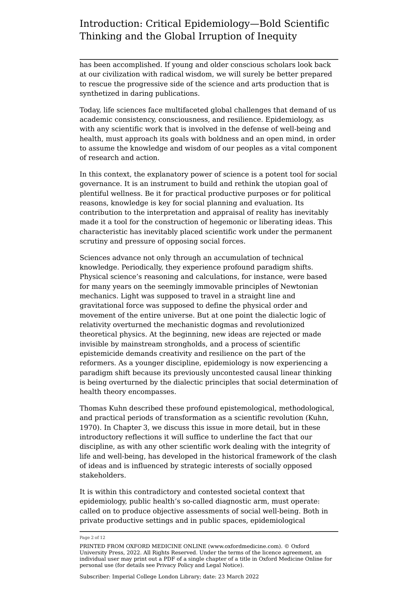has been accomplished. If young and older conscious scholars look back at our civilization with radical wisdom, we will surely be better prepared to rescue the progressive side of the science and arts production that is synthetized in daring publications.

Today, life sciences face multifaceted global challenges that demand of us academic consistency, consciousness, and resilience. Epidemiology, as with any scientific work that is involved in the defense of well-being and health, must approach its goals with boldness and an open mind, in order to assume the knowledge and wisdom of our peoples as a vital component of research and action.

In this context, the explanatory power of science is a potent tool for social governance. It is an instrument to build and rethink the utopian goal of plentiful wellness. Be it for practical productive purposes or for political reasons, knowledge is key for social planning and evaluation. Its contribution to the interpretation and appraisal of reality has inevitably made it a tool for the construction of hegemonic or liberating ideas. This characteristic has inevitably placed scientific work under the permanent scrutiny and pressure of opposing social forces.

Sciences advance not only through an accumulation of technical knowledge. Periodically, they experience profound paradigm shifts. Physical science's reasoning and calculations, for instance, were based for many years on the seemingly immovable principles of Newtonian mechanics. Light was supposed to travel in a straight line and gravitational force was supposed to define the physical order and movement of the entire universe. But at one point the dialectic logic of relativity overturned the mechanistic dogmas and revolutionized theoretical physics. At the beginning, new ideas are rejected or made invisible by mainstream strongholds, and a process of scientific epistemicide demands creativity and resilience on the part of the reformers. As a younger discipline, epidemiology is now experiencing a paradigm shift because its previously uncontested causal linear thinking is being overturned by the dialectic principles that social determination of health theory encompasses.

Thomas Kuhn described these profound epistemological, methodological, and practical periods of transformation as a scientific revolution [\(Kuhn,](https://oxfordmedicine.com/view/10.1093/med/9780190492786.001.0001/med-9780190492786-bibliography-1#med-9780190492786-bibItem-164) [1970](https://oxfordmedicine.com/view/10.1093/med/9780190492786.001.0001/med-9780190492786-bibliography-1#med-9780190492786-bibItem-164)). In Chapter [3](https://oxfordmedicine.com/view/10.1093/med/9780190492786.001.0001/med-9780190492786-chapter-4#), we discuss this issue in more detail, but in these introductory reflections it will suffice to underline the fact that our discipline, as with any other scientific work dealing with the integrity of life and well-being, has developed in the historical framework of the clash of ideas and is influenced by strategic interests of socially opposed stakeholders.

It is within this contradictory and contested societal context that epidemiology, public health's so-called diagnostic arm, must operate: called on to produce objective assessments of social well-being. Both in private productive settings and in public spaces, epidemiological

Page 2 of 12

PRINTED FROM OXFORD MEDICINE ONLINE (www.oxfordmedicine.com). © Oxford University Press, 2022. All Rights Reserved. Under the terms of the licence agreement, an individual user may print out a PDF of a single chapter of a title in Oxford Medicine Online for personal use (for details see [Privacy Policy](https://global.oup.com/privacy) and [Legal Notice](https://oxfordmedicine.com/page/legal-notice)).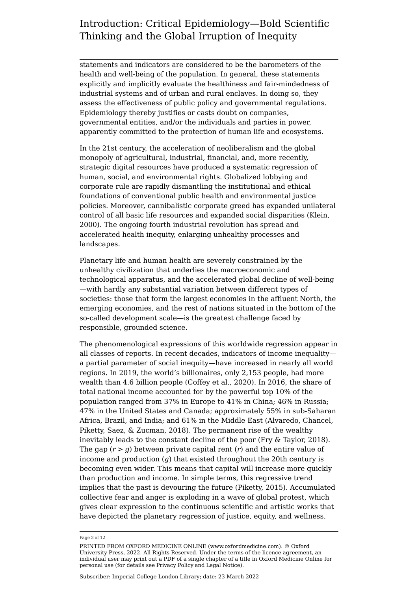statements and indicators are considered to be the barometers of the health and well-being of the population. In general, these statements explicitly and implicitly evaluate the healthiness and fair-mindedness of industrial systems and of urban and rural enclaves. In doing so, they assess the effectiveness of public policy and governmental regulations. Epidemiology thereby justifies or casts doubt on companies, governmental entities, and/or the individuals and parties in power, apparently committed to the protection of human life and ecosystems.

In the 21st century, the acceleration of neoliberalism and the global monopoly of agricultural, industrial, financial, and, more recently, strategic digital resources have produced a systematic regression of human, social, and environmental rights. Globalized lobbying and corporate rule are rapidly dismantling the institutional and ethical foundations of conventional public health and environmental justice policies. Moreover, cannibalistic corporate greed has expanded unilateral control of all basic life resources and expanded social disparities ([Klein,](https://oxfordmedicine.com/view/10.1093/med/9780190492786.001.0001/med-9780190492786-bibliography-1#med-9780190492786-bibItem-143)  [2000](https://oxfordmedicine.com/view/10.1093/med/9780190492786.001.0001/med-9780190492786-bibliography-1#med-9780190492786-bibItem-143)). The ongoing fourth industrial revolution has spread and accelerated health inequity, enlarging unhealthy processes and landscapes.

Planetary life and human health are severely constrained by the unhealthy civilization that underlies the macroeconomic and technological apparatus, and the accelerated global decline of well-being —with hardly any substantial variation between different types of societies: those that form the largest economies in the affluent North, the emerging economies, and the rest of nations situated in the bottom of the so-called development scale—is the greatest challenge faced by responsible, grounded science.

The phenomenological expressions of this worldwide regression appear in all classes of reports. In recent decades, indicators of income inequality a partial parameter of social inequity—have increased in nearly all world regions. In 2019, the world's billionaires, only 2,153 people, had more wealth than 4.6 billion people [\(Coffey et al., 2020](https://oxfordmedicine.com/view/10.1093/med/9780190492786.001.0001/med-9780190492786-bibliography-1#med-9780190492786-bibItem-74)). In 2016, the share of total national income accounted for by the powerful top 10% of the population ranged from 37% in Europe to 41% in China; 46% in Russia; 47% in the United States and Canada; approximately 55% in sub-Saharan Africa, Brazil, and India; and 61% in the Middle East [\(Alvaredo, Chancel,](https://oxfordmedicine.com/view/10.1093/med/9780190492786.001.0001/med-9780190492786-bibliography-1#med-9780190492786-bibItem-8)  [Piketty, Saez, & Zucman, 2018](https://oxfordmedicine.com/view/10.1093/med/9780190492786.001.0001/med-9780190492786-bibliography-1#med-9780190492786-bibItem-8)). The permanent rise of the wealthy inevitably leads to the constant decline of the poor (Fry & Taylor, 2018). The gap  $(r > q)$  between private capital rent  $(r)$  and the entire value of income and production (*g*) that existed throughout the 20th century is becoming even wider. This means that capital will increase more quickly than production and income. In simple terms, this regressive trend implies that the past is devouring the future ([Piketty, 2015](https://oxfordmedicine.com/view/10.1093/med/9780190492786.001.0001/med-9780190492786-bibliography-1#med-9780190492786-bibItem-217)). Accumulated collective fear and anger is exploding in a wave of global protest, which gives clear expression to the continuous scientific and artistic works that have depicted the planetary regression of justice, equity, and wellness.

Page 3 of 12

PRINTED FROM OXFORD MEDICINE ONLINE (www.oxfordmedicine.com). © Oxford University Press, 2022. All Rights Reserved. Under the terms of the licence agreement, an individual user may print out a PDF of a single chapter of a title in Oxford Medicine Online for personal use (for details see [Privacy Policy](https://global.oup.com/privacy) and [Legal Notice](https://oxfordmedicine.com/page/legal-notice)).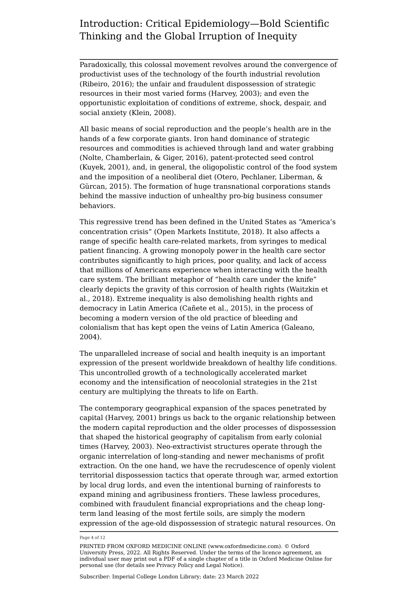Paradoxically, this colossal movement revolves around the convergence of productivist uses of the technology of the fourth industrial revolution [\(Ribeiro, 2016](https://oxfordmedicine.com/view/10.1093/med/9780190492786.001.0001/med-9780190492786-bibliography-1#med-9780190492786-bibItem-222)); the unfair and fraudulent dispossession of strategic resources in their most varied forms ([Harvey, 2003](https://oxfordmedicine.com/view/10.1093/med/9780190492786.001.0001/med-9780190492786-bibliography-1#med-9780190492786-bibItem-127)); and even the opportunistic exploitation of conditions of extreme, shock, despair, and social anxiety ([Klein, 2008](https://oxfordmedicine.com/view/10.1093/med/9780190492786.001.0001/med-9780190492786-bibliography-1#med-9780190492786-bibItem-145)).

All basic means of social reproduction and the people's health are in the hands of a few corporate giants. Iron hand dominance of strategic resources and commodities is achieved through land and water grabbing [\(Nolte, Chamberlain, & Giger, 2016\)](https://oxfordmedicine.com/view/10.1093/med/9780190492786.001.0001/med-9780190492786-bibliography-1#med-9780190492786-bibItem-202), patent-protected seed control [\(Kuyek, 2001\)](https://oxfordmedicine.com/view/10.1093/med/9780190492786.001.0001/med-9780190492786-bibliography-1#med-9780190492786-bibItem-165), and, in general, the oligopolistic control of the food system and the imposition of a neoliberal diet ([Otero, Pechlaner, Liberman, &](https://oxfordmedicine.com/view/10.1093/med/9780190492786.001.0001/med-9780190492786-bibliography-1#med-9780190492786-bibItem-208) [Gürcan, 2015\)](https://oxfordmedicine.com/view/10.1093/med/9780190492786.001.0001/med-9780190492786-bibliography-1#med-9780190492786-bibItem-208). The formation of huge transnational corporations stands behind the massive induction of unhealthy pro-big business consumer behaviors.

This regressive trend has been defined in the United States as "America's concentration crisis" ([Open Markets Institute, 2018\)](https://oxfordmedicine.com/view/10.1093/med/9780190492786.001.0001/med-9780190492786-bibliography-1#med-9780190492786-bibItem-205). It also affects a range of specific health care-related markets, from syringes to medical patient financing. A growing monopoly power in the health care sector contributes significantly to high prices, poor quality, and lack of access that millions of Americans experience when interacting with the health care system. The brilliant metaphor of "health care under the knife" clearly depicts the gravity of this corrosion of health rights [\(Waitzkin et](https://oxfordmedicine.com/view/10.1093/med/9780190492786.001.0001/med-9780190492786-bibliography-1#med-9780190492786-bibItem-267) [al., 2018](https://oxfordmedicine.com/view/10.1093/med/9780190492786.001.0001/med-9780190492786-bibliography-1#med-9780190492786-bibItem-267)). Extreme inequality is also demolishing health rights and democracy in Latin America ([Cañete et al., 2015](https://oxfordmedicine.com/view/10.1093/med/9780190492786.001.0001/med-9780190492786-bibliography-1#med-9780190492786-bibItem-71)), in the process of becoming a modern version of the old practice of bleeding and colonialism that has kept open the veins of Latin America ([Galeano,](https://oxfordmedicine.com/view/10.1093/med/9780190492786.001.0001/med-9780190492786-bibliography-1#med-9780190492786-bibItem-114) [2004](https://oxfordmedicine.com/view/10.1093/med/9780190492786.001.0001/med-9780190492786-bibliography-1#med-9780190492786-bibItem-114)).

The unparalleled increase of social and health inequity is an important expression of the present worldwide breakdown of healthy life conditions. This uncontrolled growth of a technologically accelerated market economy and the intensification of neocolonial strategies in the 21st century are multiplying the threats to life on Earth.

The contemporary geographical expansion of the spaces penetrated by capital ([Harvey, 2001](https://oxfordmedicine.com/view/10.1093/med/9780190492786.001.0001/med-9780190492786-bibliography-1#med-9780190492786-bibItem-126)) brings us back to the organic relationship between the modern capital reproduction and the older processes of dispossession that shaped the historical geography of capitalism from early colonial times [\(Harvey, 2003\)](https://oxfordmedicine.com/view/10.1093/med/9780190492786.001.0001/med-9780190492786-bibliography-1#med-9780190492786-bibItem-127). Neo-extractivist structures operate through the organic interrelation of long-standing and newer mechanisms of profit extraction. On the one hand, we have the recrudescence of openly violent territorial dispossession tactics that operate through war, armed extortion by local drug lords, and even the intentional burning of rainforests to expand mining and agribusiness frontiers. These lawless procedures, combined with fraudulent financial expropriations and the cheap longterm land leasing of the most fertile soils, are simply the modern expression of the age-old dispossession of strategic natural resources. On

PRINTED FROM OXFORD MEDICINE ONLINE (www.oxfordmedicine.com). © Oxford University Press, 2022. All Rights Reserved. Under the terms of the licence agreement, an individual user may print out a PDF of a single chapter of a title in Oxford Medicine Online for personal use (for details see [Privacy Policy](https://global.oup.com/privacy) and [Legal Notice](https://oxfordmedicine.com/page/legal-notice)).

Page 4 of 12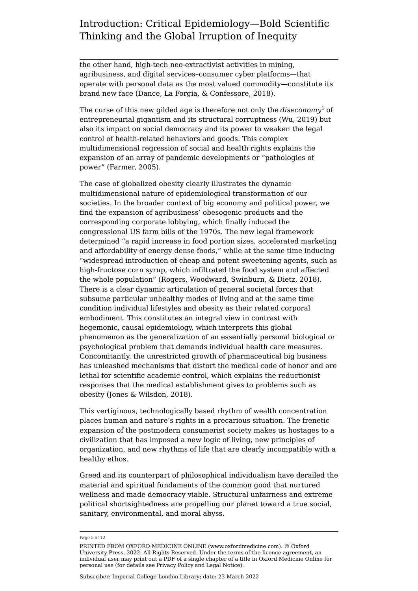the other hand, high-tech neo-extractivist activities in mining, agribusiness, and digital services–consumer cyber platforms—that operate with personal data as the most valued commodity—constitute its brand new face ([Dance, La Forgia, & Confessore, 2018\)](https://oxfordmedicine.com/view/10.1093/med/9780190492786.001.0001/med-9780190492786-bibliography-1#med-9780190492786-bibItem-81).

<span id="page-9-0"></span>The curse of this new gilded age is therefore not only the *diseconomy*<sup>[1](#page-16-0)</sup> of entrepreneurial gigantism and its structural corruptness (Wu, 2019) but also its impact on social democracy and its power to weaken the legal control of health-related behaviors and goods. This complex multidimensional regression of social and health rights explains the expansion of an array of pandemic developments or "pathologies of power" ([Farmer, 2005](https://oxfordmedicine.com/view/10.1093/med/9780190492786.001.0001/med-9780190492786-bibliography-1#med-9780190492786-bibItem-100)).

The case of globalized obesity clearly illustrates the dynamic multidimensional nature of epidemiological transformation of our societies. In the broader context of big economy and political power, we find the expansion of agribusiness' obesogenic products and the corresponding corporate lobbying, which finally induced the congressional US farm bills of the 1970s. The new legal framework determined "a rapid increase in food portion sizes, accelerated marketing and affordability of energy dense foods," while at the same time inducing "widespread introduction of cheap and potent sweetening agents, such as high-fructose corn syrup, which infiltrated the food system and affected the whole population" ([Rogers, Woodward, Swinburn, & Dietz, 2018\)](https://oxfordmedicine.com/view/10.1093/med/9780190492786.001.0001/med-9780190492786-bibliography-1#med-9780190492786-bibItem-225). There is a clear dynamic articulation of general societal forces that subsume particular unhealthy modes of living and at the same time condition individual lifestyles and obesity as their related corporal embodiment. This constitutes an integral view in contrast with hegemonic, causal epidemiology, which interprets this global phenomenon as the generalization of an essentially personal biological or psychological problem that demands individual health care measures. Concomitantly, the unrestricted growth of pharmaceutical big business has unleashed mechanisms that distort the medical code of honor and are lethal for scientific academic control, which explains the reductionist responses that the medical establishment gives to problems such as obesity ([Jones & Wilsdon, 2018\)](https://oxfordmedicine.com/view/10.1093/med/9780190492786.001.0001/med-9780190492786-bibliography-1#med-9780190492786-bibItem-142).

This vertiginous, technologically based rhythm of wealth concentration places human and nature's rights in a precarious situation. The frenetic expansion of the postmodern consumerist society makes us hostages to a civilization that has imposed a new logic of living, new principles of organization, and new rhythms of life that are clearly incompatible with a healthy ethos.

Greed and its counterpart of philosophical individualism have derailed the material and spiritual fundaments of the common good that nurtured wellness and made democracy viable. Structural unfairness and extreme political shortsightedness are propelling our planet toward a true social, sanitary, environmental, and moral abyss.

Page 5 of 12

PRINTED FROM OXFORD MEDICINE ONLINE (www.oxfordmedicine.com). © Oxford University Press, 2022. All Rights Reserved. Under the terms of the licence agreement, an individual user may print out a PDF of a single chapter of a title in Oxford Medicine Online for personal use (for details see [Privacy Policy](https://global.oup.com/privacy) and [Legal Notice](https://oxfordmedicine.com/page/legal-notice)).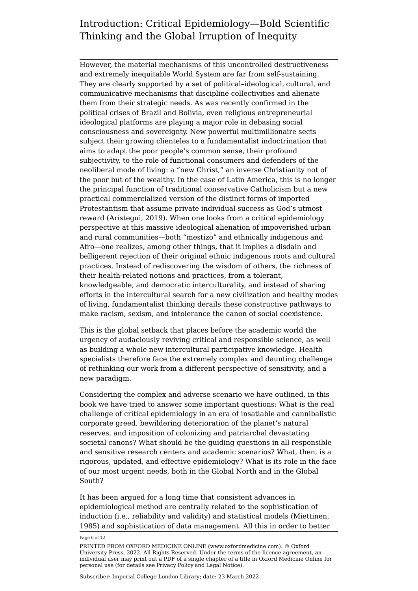However, the material mechanisms of this uncontrolled destructiveness and extremely inequitable World System are far from self-sustaining. They are clearly supported by a set of political–ideological, cultural, and communicative mechanisms that discipline collectivities and alienate them from their strategic needs. As was recently confirmed in the political crises of Brazil and Bolivia, even religious entrepreneurial ideological platforms are playing a major role in debasing social consciousness and sovereignty. New powerful multimillionaire sects subject their growing clienteles to a fundamentalist indoctrination that aims to adapt the poor people's common sense, their profound subjectivity, to the role of functional consumers and defenders of the neoliberal mode of living: a "new Christ," an inverse Christianity not of the poor but of the wealthy. In the case of Latin America, this is no longer the principal function of traditional conservative Catholicism but a new practical commercialized version of the distinct forms of imported Protestantism that assume private individual success as God's utmost reward ([Arístegui, 2019\)](https://oxfordmedicine.com/view/10.1093/med/9780190492786.001.0001/med-9780190492786-bibliography-1#med-9780190492786-bibItem-10). When one looks from a critical epidemiology perspective at this massive ideological alienation of impoverished urban and rural communities—both "mestizo" and ethnically indigenous and Afro—one realizes, among other things, that it implies a disdain and belligerent rejection of their original ethnic indigenous roots and cultural practices. Instead of rediscovering the wisdom of others, the richness of their health-related notions and practices, from a tolerant, knowledgeable, and democratic interculturality, and instead of sharing efforts in the intercultural search for a new civilization and healthy modes of living, fundamentalist thinking derails these constructive pathways to make racism, sexism, and intolerance the canon of social coexistence.

This is the global setback that places before the academic world the urgency of audaciously reviving critical and responsible science, as well as building a whole new intercultural participative knowledge. Health specialists therefore face the extremely complex and daunting challenge of rethinking our work from a different perspective of sensitivity, and a new paradigm.

Considering the complex and adverse scenario we have outlined, in this book we have tried to answer some important questions: What is the real challenge of critical epidemiology in an era of insatiable and cannibalistic corporate greed, bewildering deterioration of the planet's natural reserves, and imposition of colonizing and patriarchal devastating societal canons? What should be the guiding questions in all responsible and sensitive research centers and academic scenarios? What, then, is a rigorous, updated, and effective epidemiology? What is its role in the face of our most urgent needs, both in the Global North and in the Global South?

It has been argued for a long time that consistent advances in epidemiological method are centrally related to the sophistication of induction (i.e., reliability and validity) and statistical models ([Miettinen,](https://oxfordmedicine.com/view/10.1093/med/9780190492786.001.0001/med-9780190492786-bibliography-1#med-9780190492786-bibItem-191) [1985](https://oxfordmedicine.com/view/10.1093/med/9780190492786.001.0001/med-9780190492786-bibliography-1#med-9780190492786-bibItem-191)) and sophistication of data management. All this in order to better

Page 6 of 12

PRINTED FROM OXFORD MEDICINE ONLINE (www.oxfordmedicine.com). © Oxford University Press, 2022. All Rights Reserved. Under the terms of the licence agreement, an individual user may print out a PDF of a single chapter of a title in Oxford Medicine Online for personal use (for details see [Privacy Policy](https://global.oup.com/privacy) and [Legal Notice](https://oxfordmedicine.com/page/legal-notice)).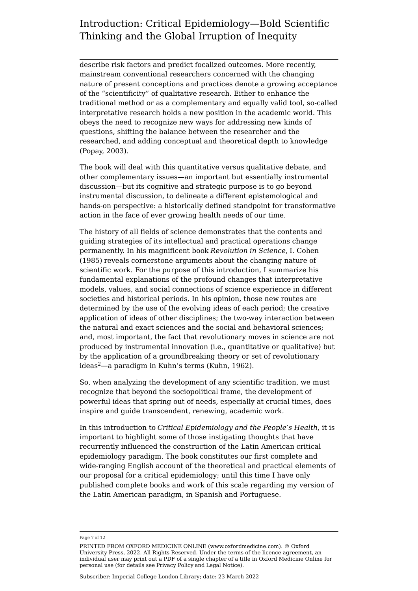describe risk factors and predict focalized outcomes. More recently, mainstream conventional researchers concerned with the changing nature of present conceptions and practices denote a growing acceptance of the "scientificity" of qualitative research. Either to enhance the traditional method or as a complementary and equally valid tool, so-called interpretative research holds a new position in the academic world. This obeys the need to recognize new ways for addressing new kinds of questions, shifting the balance between the researcher and the researched, and adding conceptual and theoretical depth to knowledge [\(Popay, 2003](https://oxfordmedicine.com/view/10.1093/med/9780190492786.001.0001/med-9780190492786-bibliography-1#med-9780190492786-bibItem-218)).

The book will deal with this quantitative versus qualitative debate, and other complementary issues—an important but essentially instrumental discussion—but its cognitive and strategic purpose is to go beyond instrumental discussion, to delineate a different epistemological and hands-on perspective: a historically defined standpoint for transformative action in the face of ever growing health needs of our time.

The history of all fields of science demonstrates that the contents and guiding strategies of its intellectual and practical operations change permanently. In his magnificent book *Revolution in Science*, [I. Cohen](https://oxfordmedicine.com/view/10.1093/med/9780190492786.001.0001/med-9780190492786-bibliography-1#med-9780190492786-bibItem-75) [\(1985\)](https://oxfordmedicine.com/view/10.1093/med/9780190492786.001.0001/med-9780190492786-bibliography-1#med-9780190492786-bibItem-75) reveals cornerstone arguments about the changing nature of scientific work. For the purpose of this introduction, I summarize his fundamental explanations of the profound changes that interpretative models, values, and social connections of science experience in different societies and historical periods. In his opinion, those new routes are determined by the use of the evolving ideas of each period; the creative application of ideas of other disciplines; the two-way interaction between the natural and exact sciences and the social and behavioral sciences; and, most important, the fact that revolutionary moves in science are not produced by instrumental innovation (i.e., quantitative or qualitative) but by the application of a groundbreaking theory or set of revolutionary  $ideas<sup>2</sup>$  $ideas<sup>2</sup>$  $ideas<sup>2</sup>$ —a paradigm in Kuhn's terms ([Kuhn, 1962](https://oxfordmedicine.com/view/10.1093/med/9780190492786.001.0001/med-9780190492786-bibliography-1#med-9780190492786-bibItem-163)).

<span id="page-11-0"></span>So, when analyzing the development of any scientific tradition, we must recognize that beyond the sociopolitical frame, the development of powerful ideas that spring out of needs, especially at crucial times, does inspire and guide transcendent, renewing, academic work.

In this introduction to *Critical Epidemiology and the People's Health*, it is important to highlight some of those instigating thoughts that have recurrently influenced the construction of the Latin American critical epidemiology paradigm. The book constitutes our first complete and wide-ranging English account of the theoretical and practical elements of our proposal for a critical epidemiology; until this time I have only published complete books and work of this scale regarding my version of the Latin American paradigm, in Spanish and Portuguese.

Page 7 of 12

PRINTED FROM OXFORD MEDICINE ONLINE (www.oxfordmedicine.com). © Oxford University Press, 2022. All Rights Reserved. Under the terms of the licence agreement, an individual user may print out a PDF of a single chapter of a title in Oxford Medicine Online for personal use (for details see [Privacy Policy](https://global.oup.com/privacy) and [Legal Notice](https://oxfordmedicine.com/page/legal-notice)).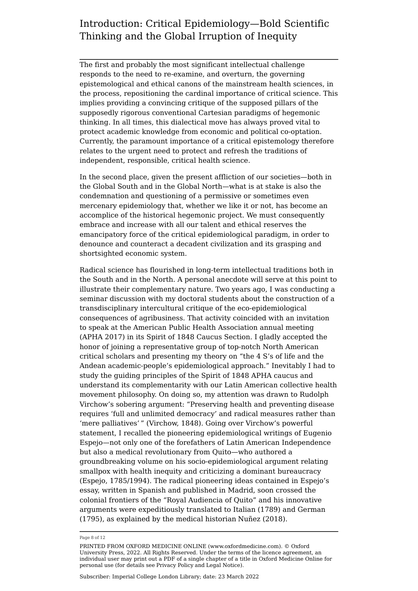The first and probably the most significant intellectual challenge responds to the need to re-examine, and overturn, the governing epistemological and ethical canons of the mainstream health sciences, in the process, repositioning the cardinal importance of critical science. This implies providing a convincing critique of the supposed pillars of the supposedly rigorous conventional Cartesian paradigms of hegemonic thinking. In all times, this dialectical move has always proved vital to protect academic knowledge from economic and political co-optation. Currently, the paramount importance of a critical epistemology therefore relates to the urgent need to protect and refresh the traditions of independent, responsible, critical health science.

In the second place, given the present affliction of our societies—both in the Global South and in the Global North—what is at stake is also the condemnation and questioning of a permissive or sometimes even mercenary epidemiology that, whether we like it or not, has become an accomplice of the historical hegemonic project. We must consequently embrace and increase with all our talent and ethical reserves the emancipatory force of the critical epidemiological paradigm, in order to denounce and counteract a decadent civilization and its grasping and shortsighted economic system.

Radical science has flourished in long-term intellectual traditions both in the South and in the North. A personal anecdote will serve at this point to illustrate their complementary nature. Two years ago, I was conducting a seminar discussion with my doctoral students about the construction of a transdisciplinary intercultural critique of the eco-epidemiological consequences of agribusiness. That activity coincided with an invitation to speak at the American Public Health Association annual meeting (APHA 2017) in its Spirit of 1848 Caucus Section. I gladly accepted the honor of joining a representative group of top-notch North American critical scholars and presenting my theory on "the 4 S's of life and the Andean academic-people's epidemiological approach." Inevitably I had to study the guiding principles of the Spirit of 1848 APHA caucus and understand its complementarity with our Latin American collective health movement philosophy. On doing so, my attention was drawn to Rudolph Virchow's sobering argument: "Preserving health and preventing disease requires 'full and unlimited democracy' and radical measures rather than 'mere palliatives' " ([Virchow, 1848](https://oxfordmedicine.com/view/10.1093/med/9780190492786.001.0001/med-9780190492786-bibliography-1#med-9780190492786-bibItem-261)). Going over Virchow's powerful statement, I recalled the pioneering epidemiological writings of Eugenio Espejo—not only one of the forefathers of Latin American Independence but also a medical revolutionary from Quito—who authored a groundbreaking volume on his socio-epidemiological argument relating smallpox with health inequity and criticizing a dominant bureaucracy [\(Espejo, 1785/1994](https://oxfordmedicine.com/view/10.1093/med/9780190492786.001.0001/med-9780190492786-bibliography-1#med-9780190492786-bibItem-99)). The radical pioneering ideas contained in Espejo's essay, written in Spanish and published in Madrid, soon crossed the colonial frontiers of the "Royal Audiencia of Quito" and his innovative arguments were expeditiously translated to Italian (1789) and German (1795), as explained by the medical historian [Nuñez \(2018\).](https://oxfordmedicine.com/view/10.1093/med/9780190492786.001.0001/med-9780190492786-bibliography-1#med-9780190492786-bibItem-204)

Page 8 of 12

PRINTED FROM OXFORD MEDICINE ONLINE (www.oxfordmedicine.com). © Oxford University Press, 2022. All Rights Reserved. Under the terms of the licence agreement, an individual user may print out a PDF of a single chapter of a title in Oxford Medicine Online for personal use (for details see [Privacy Policy](https://global.oup.com/privacy) and [Legal Notice](https://oxfordmedicine.com/page/legal-notice)).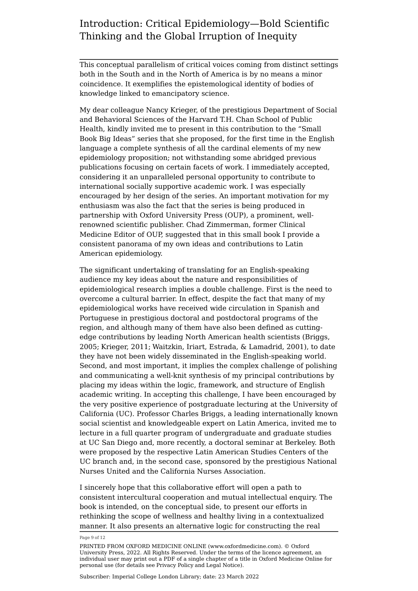This conceptual parallelism of critical voices coming from distinct settings both in the South and in the North of America is by no means a minor coincidence. It exemplifies the epistemological identity of bodies of knowledge linked to emancipatory science.

My dear colleague Nancy Krieger, of the prestigious Department of Social and Behavioral Sciences of the Harvard T.H. Chan School of Public Health, kindly invited me to present in this contribution to the "Small Book Big Ideas" series that she proposed, for the first time in the English language a complete synthesis of all the cardinal elements of my new epidemiology proposition; not withstanding some abridged previous publications focusing on certain facets of work. I immediately accepted, considering it an unparalleled personal opportunity to contribute to international socially supportive academic work. I was especially encouraged by her design of the series. An important motivation for my enthusiasm was also the fact that the series is being produced in partnership with Oxford University Press (OUP), a prominent, wellrenowned scientific publisher. Chad Zimmerman, former Clinical Medicine Editor of OUP, suggested that in this small book I provide a consistent panorama of my own ideas and contributions to Latin American epidemiology.

The significant undertaking of translating for an English-speaking audience my key ideas about the nature and responsibilities of epidemiological research implies a double challenge. First is the need to overcome a cultural barrier. In effect, despite the fact that many of my epidemiological works have received wide circulation in Spanish and Portuguese in prestigious doctoral and postdoctoral programs of the region, and although many of them have also been defined as cuttingedge contributions by leading North American health scientists [\(Briggs,](https://oxfordmedicine.com/view/10.1093/med/9780190492786.001.0001/med-9780190492786-bibliography-1#med-9780190492786-bibItem-65)  [2005](https://oxfordmedicine.com/view/10.1093/med/9780190492786.001.0001/med-9780190492786-bibliography-1#med-9780190492786-bibItem-65); [Krieger, 2011](https://oxfordmedicine.com/view/10.1093/med/9780190492786.001.0001/med-9780190492786-bibliography-1#med-9780190492786-bibItem-159); [Waitzkin, Iriart, Estrada, & Lamadrid, 2001](https://oxfordmedicine.com/view/10.1093/med/9780190492786.001.0001/med-9780190492786-bibliography-1#med-9780190492786-bibItem-265)), to date they have not been widely disseminated in the English-speaking world. Second, and most important, it implies the complex challenge of polishing and communicating a well-knit synthesis of my principal contributions by placing my ideas within the logic, framework, and structure of English academic writing. In accepting this challenge, I have been encouraged by the very positive experience of postgraduate lecturing at the University of California (UC). Professor Charles Briggs, a leading internationally known social scientist and knowledgeable expert on Latin America, invited me to lecture in a full quarter program of undergraduate and graduate studies at UC San Diego and, more recently, a doctoral seminar at Berkeley. Both were proposed by the respective Latin American Studies Centers of the UC branch and, in the second case, sponsored by the prestigious National Nurses United and the California Nurses Association.

I sincerely hope that this collaborative effort will open a path to consistent intercultural cooperation and mutual intellectual enquiry. The book is intended, on the conceptual side, to present our efforts in rethinking the scope of wellness and healthy living in a contextualized manner. It also presents an alternative logic for constructing the real

Page 9 of 12

PRINTED FROM OXFORD MEDICINE ONLINE (www.oxfordmedicine.com). © Oxford University Press, 2022. All Rights Reserved. Under the terms of the licence agreement, an individual user may print out a PDF of a single chapter of a title in Oxford Medicine Online for personal use (for details see [Privacy Policy](https://global.oup.com/privacy) and [Legal Notice](https://oxfordmedicine.com/page/legal-notice)).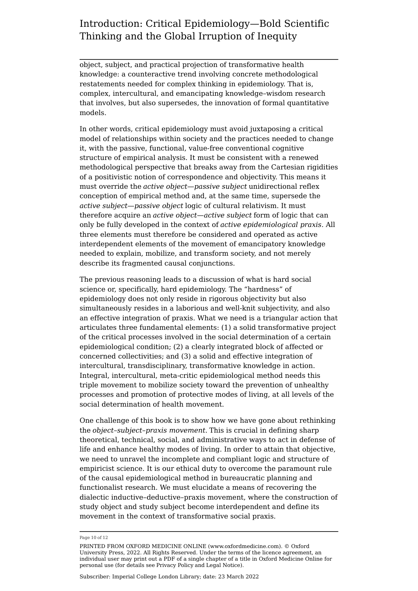object, subject, and practical projection of transformative health knowledge: a counteractive trend involving concrete methodological restatements needed for complex thinking in epidemiology. That is, complex, intercultural, and emancipating knowledge–wisdom research that involves, but also supersedes, the innovation of formal quantitative models.

In other words, critical epidemiology must avoid juxtaposing a critical model of relationships within society and the practices needed to change it, with the passive, functional, value-free conventional cognitive structure of empirical analysis. It must be consistent with a renewed methodological perspective that breaks away from the Cartesian rigidities of a positivistic notion of correspondence and objectivity. This means it must override the *active object*—*passive subject* unidirectional reflex conception of empirical method and, at the same time, supersede the *active subject*—*passive object* logic of cultural relativism. It must therefore acquire an *active object*—*active subject* form of logic that can only be fully developed in the context of *active epidemiological praxis*. All three elements must therefore be considered and operated as active interdependent elements of the movement of emancipatory knowledge needed to explain, mobilize, and transform society, and not merely describe its fragmented causal conjunctions.

The previous reasoning leads to a discussion of what is hard social science or, specifically, hard epidemiology. The "hardness" of epidemiology does not only reside in rigorous objectivity but also simultaneously resides in a laborious and well-knit subjectivity, and also an effective integration of praxis. What we need is a triangular action that articulates three fundamental elements: (1) a solid transformative project of the critical processes involved in the social determination of a certain epidemiological condition; (2) a clearly integrated block of affected or concerned collectivities; and (3) a solid and effective integration of intercultural, transdisciplinary, transformative knowledge in action. Integral, intercultural, meta-critic epidemiological method needs this triple movement to mobilize society toward the prevention of unhealthy processes and promotion of protective modes of living, at all levels of the social determination of health movement.

One challenge of this book is to show how we have gone about rethinking the *object–subject–praxis movement.* This is crucial in defining sharp theoretical, technical, social, and administrative ways to act in defense of life and enhance healthy modes of living. In order to attain that objective, we need to unravel the incomplete and compliant logic and structure of empiricist science. It is our ethical duty to overcome the paramount rule of the causal epidemiological method in bureaucratic planning and functionalist research. We must elucidate a means of recovering the dialectic inductive–deductive–praxis movement, where the construction of study object and study subject become interdependent and define its movement in the context of transformative social praxis.

Page 10 of 12

PRINTED FROM OXFORD MEDICINE ONLINE (www.oxfordmedicine.com). © Oxford University Press, 2022. All Rights Reserved. Under the terms of the licence agreement, an individual user may print out a PDF of a single chapter of a title in Oxford Medicine Online for personal use (for details see [Privacy Policy](https://global.oup.com/privacy) and [Legal Notice](https://oxfordmedicine.com/page/legal-notice)).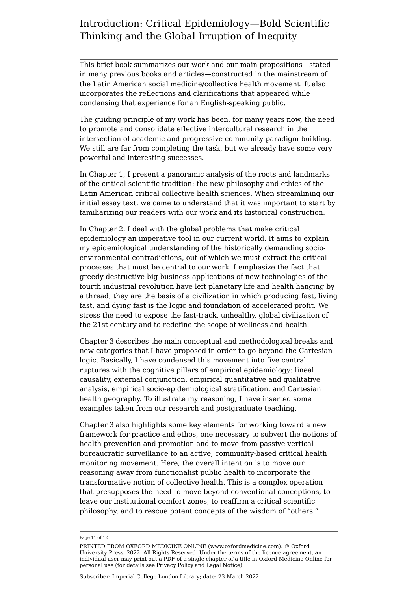This brief book summarizes our work and our main propositions—stated in many previous books and articles—constructed in the mainstream of the Latin American social medicine/collective health movement. It also incorporates the reflections and clarifications that appeared while condensing that experience for an English-speaking public.

The guiding principle of my work has been, for many years now, the need to promote and consolidate effective intercultural research in the intersection of academic and progressive community paradigm building. We still are far from completing the task, but we already have some very powerful and interesting successes.

In Chapter [1](https://oxfordmedicine.com/view/10.1093/med/9780190492786.001.0001/med-9780190492786-chapter-2#), I present a panoramic analysis of the roots and landmarks of the critical scientific tradition: the new philosophy and ethics of the Latin American critical collective health sciences. When streamlining our initial essay text, we came to understand that it was important to start by familiarizing our readers with our work and its historical construction.

In Chapter [2](https://oxfordmedicine.com/view/10.1093/med/9780190492786.001.0001/med-9780190492786-chapter-3#), I deal with the global problems that make critical epidemiology an imperative tool in our current world. It aims to explain my epidemiological understanding of the historically demanding socioenvironmental contradictions, out of which we must extract the critical processes that must be central to our work. I emphasize the fact that greedy destructive big business applications of new technologies of the fourth industrial revolution have left planetary life and health hanging by a thread; they are the basis of a civilization in which producing fast, living fast, and dying fast is the logic and foundation of accelerated profit. We stress the need to expose the fast-track, unhealthy, global civilization of the 21st century and to redefine the scope of wellness and health.

Chapter [3](https://oxfordmedicine.com/view/10.1093/med/9780190492786.001.0001/med-9780190492786-chapter-4#) describes the main conceptual and methodological breaks and new categories that I have proposed in order to go beyond the Cartesian logic. Basically, I have condensed this movement into five central ruptures with the cognitive pillars of empirical epidemiology: lineal causality, external conjunction, empirical quantitative and qualitative analysis, empirical socio-epidemiological stratification, and Cartesian health geography. To illustrate my reasoning, I have inserted some examples taken from our research and postgraduate teaching.

Chapter [3](https://oxfordmedicine.com/view/10.1093/med/9780190492786.001.0001/med-9780190492786-chapter-4#) also highlights some key elements for working toward a new framework for practice and ethos, one necessary to subvert the notions of health prevention and promotion and to move from passive vertical bureaucratic surveillance to an active, community-based critical health monitoring movement. Here, the overall intention is to move our reasoning away from functionalist public health to incorporate the transformative notion of collective health. This is a complex operation that presupposes the need to move beyond conventional conceptions, to leave our institutional comfort zones, to reaffirm a critical scientific philosophy, and to rescue potent concepts of the wisdom of "others."

Page 11 of 12

PRINTED FROM OXFORD MEDICINE ONLINE (www.oxfordmedicine.com). © Oxford University Press, 2022. All Rights Reserved. Under the terms of the licence agreement, an individual user may print out a PDF of a single chapter of a title in Oxford Medicine Online for personal use (for details see [Privacy Policy](https://global.oup.com/privacy) and [Legal Notice](https://oxfordmedicine.com/page/legal-notice)).